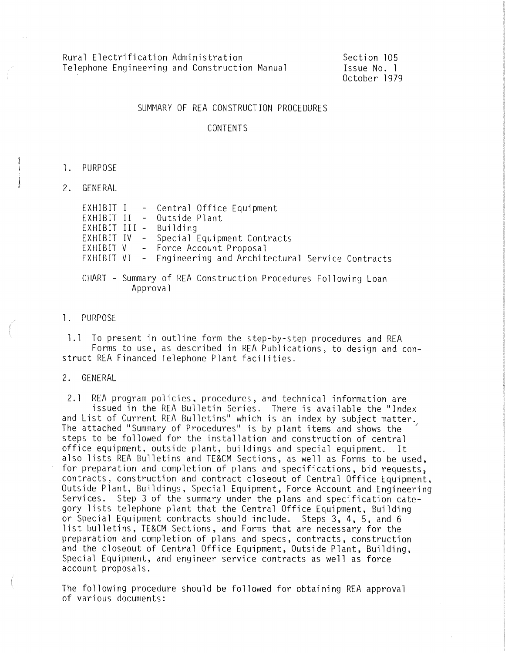Rural Electrification Administration Telephone Engineering and Construction Manual Section 105 Issue No. l October 1979

#### SUMMARY OF REA CONSTRUCTION PROCEDURES

#### CONTENTS

- l. PURPOSE
- 2. GENERAL

|  | EXHIBIT I - Central Office Equipment<br>EXHIBIT II - Outside Plant<br>EXHIBIT III - Building<br>EXHIBIT IV - Special Equipment Contracts<br>EXHIBIT V - Force Account Proposal<br>EXHIBIT VI - Engineering and Architectural Service Contracts |
|--|------------------------------------------------------------------------------------------------------------------------------------------------------------------------------------------------------------------------------------------------|
|  | CHART - Summary of REA Construction Procedures Following Loan<br>Approval                                                                                                                                                                      |

#### l. PURPOSE

l. l To present in outline form the step-by-step procedures and REA Forms to use, as described in REA Publications, to design and con- struct REA Financed Telephone Plant facilities.

#### 2. GENERAL

2.1 REA program policies, procedures, and technical information are<br>issued in the REA Bulletin Series. There is available the "Index<br>and List of Current REA Bulletins" which is an index by subject matter. The attached "Summary of Procedures" is by plant items and shows the steps to be followed for the installation and construction of central office equipment, outside plant, buildings and special equipment. It also lists REA Bulletins and TE&CM Sections, as well as Forms to be used, for preparation and completion of plans and specifications, bid requests, contracts, construction and contract closeout of Central Office Equipment, Outside Plant, Buildings, Special Equipment, Force Account and Engineering Services. Step 3 of the summary under the plans and specification category lists telephone plant that the Central Office Equipment, Building or Special Equipment contracts should include. Steps 3, 4, 5, and 6 list bulletins, TE&CM Sections, and Forms that are necessary for the preparation and completion of plans and specs, contracts, construction and the closeout of Central Office Equipment, Outside Plant, Building, Special Equipment, and engineer service contracts as well as force account proposals.

The following procedure should be followed for obtaining REA approval of various documents: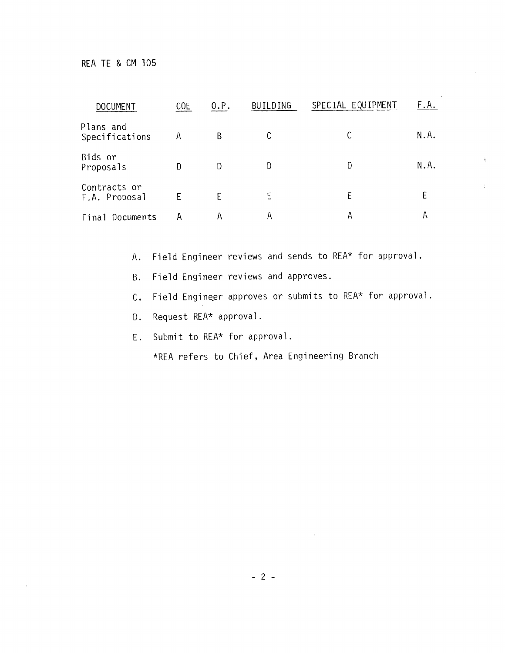| <b>DOCUMENT</b>               | C <sub>O</sub> E | 0.P. | <b>BUILDING</b> | SPECIAL EQUIPMENT | F.A. |
|-------------------------------|------------------|------|-----------------|-------------------|------|
| Plans and<br>Specifications   | Α                | B    |                 |                   | N.A. |
| Bids or<br>Proposals          | D                | D    | D               | D                 | N.A. |
| Contracts or<br>F.A. Proposal |                  | F    | E               | Ε                 |      |
| Final Documents               | А                |      | А               | Α                 | А    |

 $\mathcal{A}$ 

A. Field Engineer reviews and sends to REA\* for approval .

B. Field Engineer reviews and approves.

C. Field Engineer approves or submits to REA\* for approval.

D. Request REA\* approval.

E. Submit to REA\* for approval.

\*REA refers to Chief, Area Engineering Branch

- 2 -

 $\mathcal{L}$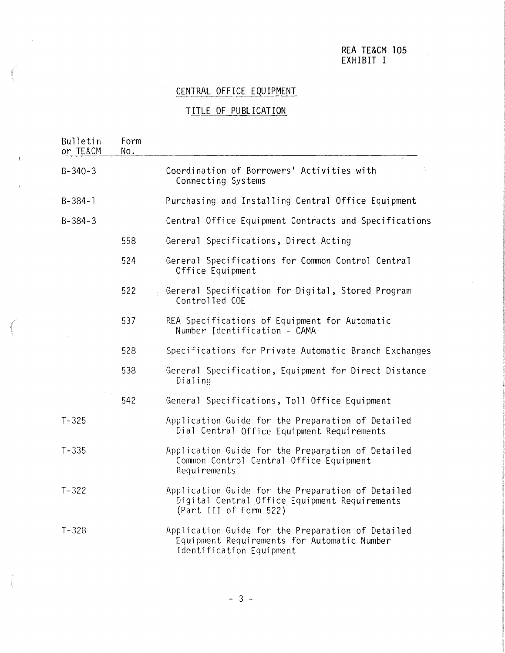#### REA TE&CM 105 EXHIBIT I

### CENTRAL OFFICE EQUIPMENT

### TITLE OF PUBLICATION

| Bulletin<br>or TE&CM | Form<br>No. |                                                                                                                              |
|----------------------|-------------|------------------------------------------------------------------------------------------------------------------------------|
| $B - 340 - 3$        |             | Coordination of Borrowers' Activities with<br>Connecting Systems                                                             |
| $B - 384 - 1$        |             | Purchasing and Installing Central Office Equipment                                                                           |
| $B - 384 - 3$        |             | Central Office Equipment Contracts and Specifications                                                                        |
|                      | 558         | General Specifications, Direct Acting                                                                                        |
|                      | 524         | General Specifications for Common Control Central<br>Office Equipment                                                        |
|                      | 522         | General Specification for Digital, Stored Program<br>Controlled COE                                                          |
|                      | 537         | REA Specifications of Equipment for Automatic<br>Number Identification - CAMA                                                |
|                      | 528         | Specifications for Private Automatic Branch Exchanges                                                                        |
|                      | 538         | General Specification, Equipment for Direct Distance<br>Dialing                                                              |
|                      | 542         | General Specifications, Toll Office Equipment                                                                                |
| $T - 325$            |             | Application Guide for the Preparation of Detailed<br>Dial Central Office Equipment Requirements                              |
| $T - 335$            |             | Application Guide for the Preparation of Detailed<br>Common Control Central Office Equipment<br>Requirements                 |
| $T - 322$            |             | Application Guide for the Preparation of Detailed<br>Digital Central Office Equipment Requirements<br>(Part III of Form 522) |
| $T - 328$            |             | Application Guide for the Preparation of Detailed<br>Equipment Requirements for Automatic Number<br>Identification Equipment |

, I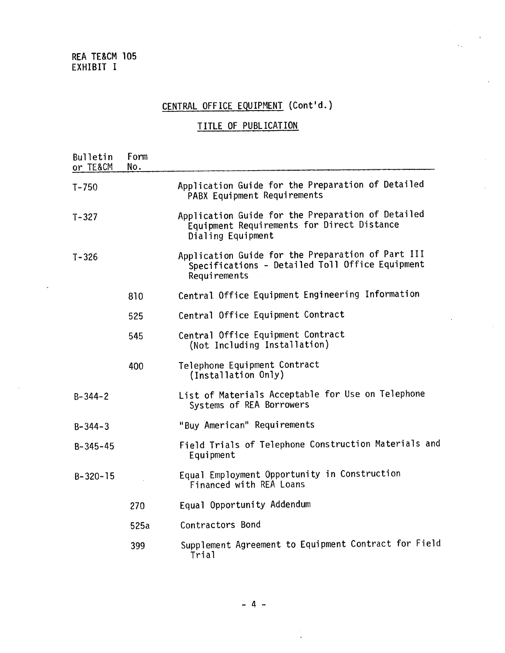REA TE&CM 105 EXHIBIT I

# CENTRAL OFFICE EQUIPMENT (Cont'd.)

 $\hat{\mathcal{N}}_{\text{in}}$ 

 $\hat{\boldsymbol{\beta}}$ 

### TITLE OF PUBLICATION

| <b>Bulletin</b><br>or TE&CM | Form<br>No. |                                                                                                                      |
|-----------------------------|-------------|----------------------------------------------------------------------------------------------------------------------|
| $T - 750$                   |             | Application Guide for the Preparation of Detailed<br>PABX Equipment Requirements                                     |
| $T - 327$                   |             | Application Guide for the Preparation of Detailed<br>Equipment Requirements for Direct Distance<br>Dialing Equipment |
| $T - 326$                   |             | Application Guide for the Preparation of Part III<br>Specifications - Detailed Toll Office Equipment<br>Requirements |
|                             | 810         | Central Office Equipment Engineering Information                                                                     |
|                             | 525         | Central Office Equipment Contract                                                                                    |
|                             | 545         | Central Office Equipment Contract<br>(Not Including Installation)                                                    |
|                             | 400         | Telephone Equipment Contract<br>(Installation Only)                                                                  |
| $B - 344 - 2$               |             | List of Materials Acceptable for Use on Telephone<br>Systems of REA Borrowers                                        |
| $B - 344 - 3$               |             | "Buy American" Requirements                                                                                          |
| $B - 345 - 45$              |             | Field Trials of Telephone Construction Materials and<br>Equipment                                                    |
| $B-320-15$                  |             | Equal Employment Opportunity in Construction<br>Financed with REA Loans                                              |
|                             | 270         | Equal Opportunity Addendum                                                                                           |
|                             | 525a        | Contractors Bond                                                                                                     |
|                             | 399         | Supplement Agreement to Equipment Contract for Field<br>Trial                                                        |

- 4 -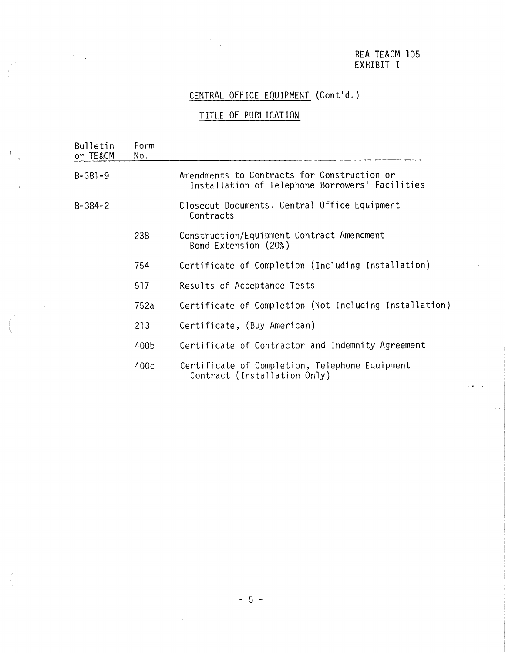#### REA TE&CM 105 EXHIBIT I

## CENTRAL OFFICE EQUIPMENT (Cont'd.)

### TITLE OF PUBLICATION

| Bulletin<br>or TE&CM | Form<br>No. |                                                                                                |
|----------------------|-------------|------------------------------------------------------------------------------------------------|
| $B-381-9$            |             | Amendments to Contracts for Construction or<br>Installation of Telephone Borrowers' Facilities |
| $B - 384 - 2$        |             | Closeout Documents, Central Office Equipment<br>Contracts                                      |
|                      | 238         | Construction/Equipment Contract Amendment<br>Bond Extension (20%)                              |
|                      | 754         | Certificate of Completion (Including Installation)                                             |
|                      | 517         | Results of Acceptance Tests                                                                    |
|                      | 752a        | Certificate of Completion (Not Including Installation                                          |
|                      | 213         | Certificate, (Buy American)                                                                    |
|                      | 400b        | Certificate of Contractor and Indemnity Agreement                                              |
|                      | 400c        | Certificate of Completion, Telephone Equipment<br>Contract (Installation Only)                 |

 $\mathcal{L}_{\mathcal{A}}$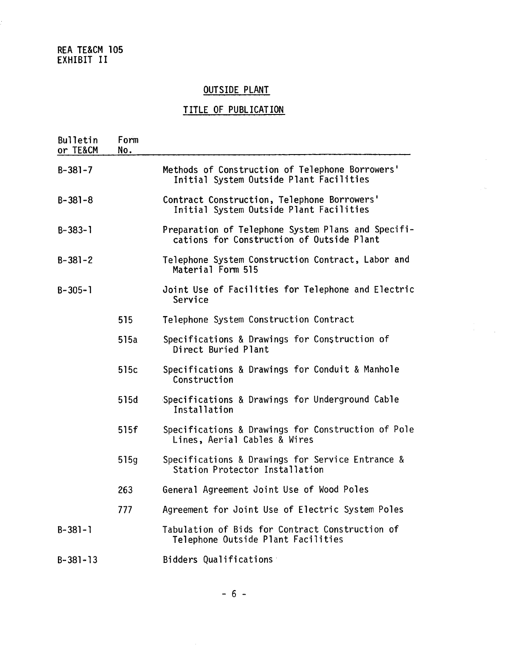REA TE&CM 105 EXHIBIT II

### OUTSIDE PLANT

## TITLE OF PUBLICATION

| Bulletin<br>or TE&CM | Form<br>No. |                                                                                                 |
|----------------------|-------------|-------------------------------------------------------------------------------------------------|
| $B-381-7$            |             | Methods of Construction of Telephone Borrowers'<br>Initial System Outside Plant Facilities      |
| $B - 381 - 8$        |             | Contract Construction, Telephone Borrowers'<br>Initial System Outside Plant Facilities          |
| $B-383-1$            |             | Preparation of Telephone System Plans and Specifi-<br>cations for Construction of Outside Plant |
| $B-381-2$            |             | Telephone System Construction Contract, Labor and<br>Material Form 515                          |
| $B - 305 - 1$        |             | Joint Use of Facilities for Telephone and Electric<br>Service                                   |
|                      | 515         | Telephone System Construction Contract                                                          |
|                      | 515a        | Specifications & Drawings for Construction of<br>Direct Buried Plant                            |
|                      | 515c        | Specifications & Drawings for Conduit & Manhole<br>Construction                                 |
|                      | 515d        | Specifications & Drawings for Underground Cable<br>Installation                                 |
|                      | 515f        | Specifications & Drawings for Construction of Pole<br>Lines, Aerial Cables & Wires              |
|                      | 515g        | Specifications & Drawings for Service Entrance &<br>Station Protector Installation              |
|                      | 263         | General Agreement Joint Use of Wood Poles                                                       |
|                      | 777         | Agreement for Joint Use of Electric System Poles                                                |
| $B-381-1$            |             | Tabulation of Bids for Contract Construction of<br>Telephone Outside Plant Facilities           |
| $B-381-13$           |             | Bidders Qualifications                                                                          |

 $\hat{\mathcal{A}}$ 

- 6 -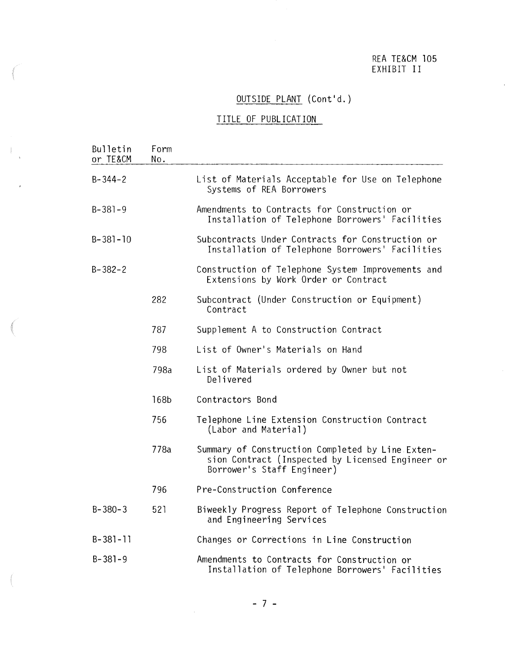#### REA TE&CM 105 EXHIBIT II

## OUTSIDE PLANT (Cont'd.)

#### TITLE OF PUBLICATION

 $\int\limits_{-\infty}^{\infty}$ 

| Bulletin<br>or TE&CM | Form<br>No. |                                                                                                                                    |
|----------------------|-------------|------------------------------------------------------------------------------------------------------------------------------------|
| $B - 344 - 2$        |             | List of Materials Acceptable for Use on Telephone<br>Systems of REA Borrowers                                                      |
| $B-381-9$            |             | Amendments to Contracts for Construction or<br>Installation of Telephone Borrowers' Facilities                                     |
| $B-381-10$           |             | Subcontracts Under Contracts for Construction or<br>Installation of Telephone Borrowers' Facilities                                |
| $B - 382 - 2$        |             | Construction of Telephone System Improvements and<br>Extensions by Work Order or Contract                                          |
|                      | 282         | Subcontract (Under Construction or Equipment)<br>Contract                                                                          |
|                      | 787         | Supplement A to Construction Contract                                                                                              |
|                      | 798         | List of Owner's Materials on Hand                                                                                                  |
|                      | 798a        | List of Materials ordered by Owner but not<br>Delivered                                                                            |
|                      | 168b        | Contractors Bond                                                                                                                   |
|                      | 756         | Telephone Line Extension Construction Contract<br>(Labor and Material)                                                             |
|                      | 778a        | Summary of Construction Completed by Line Exten-<br>sion Contract (Inspected by Licensed Engineer or<br>Borrower's Staff Engineer) |
|                      | 796         | Pre-Construction Conference                                                                                                        |
| $B-380-3$            | 521         | Biweekly Progress Report of Telephone Construction<br>and Engineering Services                                                     |
| $B-381-11$           |             | Changes or Corrections in Line Construction                                                                                        |
| $B - 381 - 9$        |             | Amendments to Contracts for Construction or<br>Installation of Telephone Borrowers' Facilities                                     |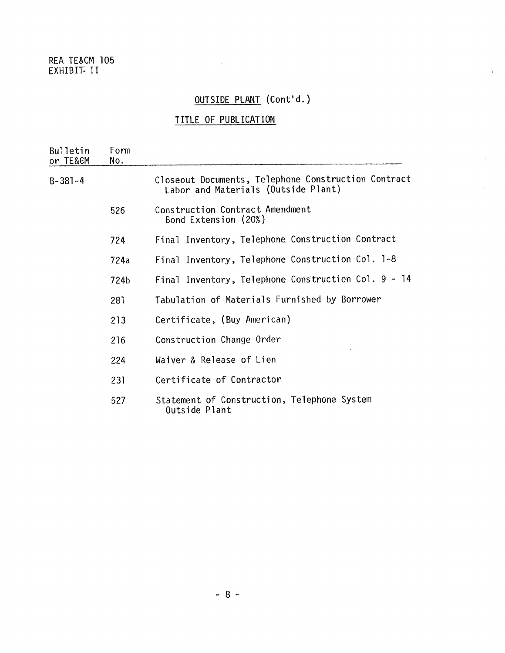#### REA TE&CM 105 EXHIBIT~ II

## OUTSIDE PLANT (Cont'd.)

 $\bar{Y}$ 

### TITLE OF PUBLICATION

 $\label{eq:2.1} \frac{1}{\sqrt{2}}\int_{0}^{\infty}\frac{1}{\sqrt{2\pi}}\left(\frac{1}{\sqrt{2\pi}}\right)^{2\alpha} \frac{1}{\sqrt{2\pi}}\int_{0}^{\infty}\frac{1}{\sqrt{2\pi}}\left(\frac{1}{\sqrt{2\pi}}\right)^{\alpha} \frac{1}{\sqrt{2\pi}}\frac{1}{\sqrt{2\pi}}\int_{0}^{\infty}\frac{1}{\sqrt{2\pi}}\frac{1}{\sqrt{2\pi}}\frac{1}{\sqrt{2\pi}}\frac{1}{\sqrt{2\pi}}\frac{1}{\sqrt{2\pi}}\frac{1}{\sqrt{2\pi}}$ 

| <b>Bulletin</b><br>or TE&CM | Form<br>No. |                                                                                            |  |  |  |
|-----------------------------|-------------|--------------------------------------------------------------------------------------------|--|--|--|
| $B-381-4$                   |             | Closeout Documents, Telephone Construction Contract<br>Labor and Materials (Outside Plant) |  |  |  |
|                             | 526         | Construction Contract Amendment<br>Bond Extension (20%)                                    |  |  |  |
|                             | 724         | Final Inventory, Telephone Construction Contract                                           |  |  |  |
|                             | 724a        | Final Inventory, Telephone Construction Col. 1-8                                           |  |  |  |
|                             | 724b        | Final Inventory, Telephone Construction Col. 9 - 14                                        |  |  |  |
|                             | 281         | Tabulation of Materials Furnished by Borrower                                              |  |  |  |
|                             | 213         | Certificate, (Buy American)                                                                |  |  |  |
|                             | 216         | Construction Change Order                                                                  |  |  |  |
|                             | 224         | Waiver & Release of Lien                                                                   |  |  |  |
|                             | 231         | Certificate of Contractor                                                                  |  |  |  |
|                             | 527         | Statement of Construction, Telephone System<br>Outside Plant                               |  |  |  |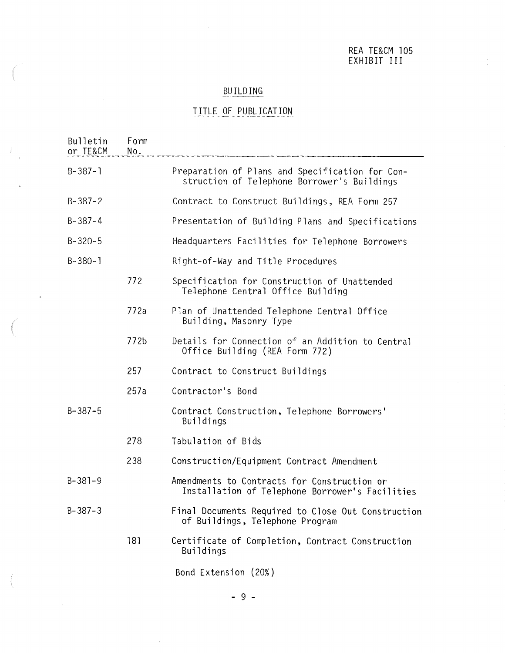REA TE&CM 105 EXHIBIT III

### **BUILDING**

### TITLE OF PUBLICATION

 $\pm$ 

 $\sim 100$ 

 $\sim 10^{-10}$ 

| Bulletin<br>or TE&CM | Form<br>No. |                                                                                                |
|----------------------|-------------|------------------------------------------------------------------------------------------------|
| $B-387-1$            |             | Preparation of Plans and Specification for Con-<br>struction of Telephone Borrower's Buildings |
| $B-387-2$            |             | Contract to Construct Buildings, REA Form 257                                                  |
| $B - 387 - 4$        |             | Presentation of Building Plans and Specifications                                              |
| $B - 320 - 5$        |             | Headquarters Facilities for Telephone Borrowers                                                |
| $B-380-1$            |             | Right-of-Way and Title Procedures                                                              |
|                      | 772         | Specification for Construction of Unattended<br>Telephone Central Office Building              |
|                      | 772a        | Plan of Unattended Telephone Central Office<br>Building, Masonry Type                          |
|                      | 772b        | Details for Connection of an Addition to Central<br>Office Building (REA Form 772)             |
|                      | 257         | Contract to Construct Buildings                                                                |
|                      | 257a        | Contractor's Bond                                                                              |
| $B-387-5$            |             | Contract Construction, Telephone Borrowers'<br><b>Buildings</b>                                |
|                      | 278         | Tabulation of Bids                                                                             |
|                      | 238         | Construction/Equipment Contract Amendment                                                      |
| $B-381-9$            |             | Amendments to Contracts for Construction or<br>Installation of Telephone Borrower's Facilities |
| $B-387-3$            |             | Final Documents Required to Close Out Construction<br>of Buildings, Telephone Program          |
|                      | 181         | Certificate of Completion, Contract Construction<br><b>Buildings</b>                           |
|                      |             | Bond Extension (20%)                                                                           |

- 9 -

 $\mathcal{A}^{\pm}$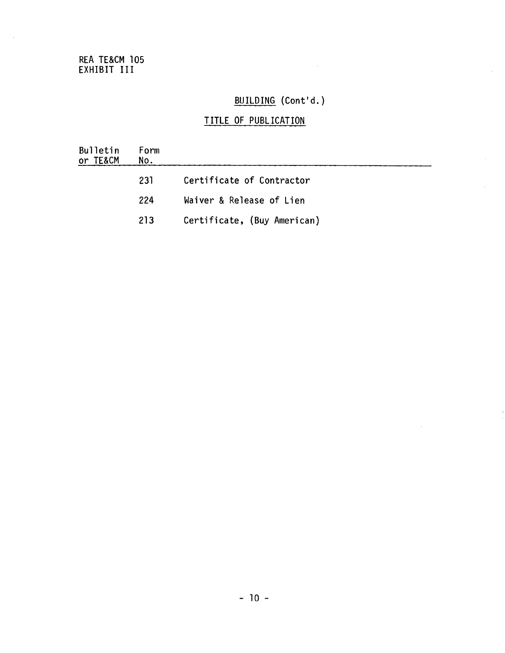#### REA TE&CM 105 EXHIBIT III.

## BUILDING (Cont'd.}

 $\mathcal{L}^{\text{max}}_{\text{max}}$  and  $\mathcal{L}^{\text{max}}_{\text{max}}$ 

 $\ddot{\phantom{a}}$ 

 $\hat{\boldsymbol{\beta}}$ 

| <b>Bulletin</b><br>or TE&CM | Form<br>No. |                             |
|-----------------------------|-------------|-----------------------------|
|                             | 231         | Certificate of Contractor   |
|                             | 224         | Waiver & Release of Lien    |
|                             | 213         | Certificate, (Buy American) |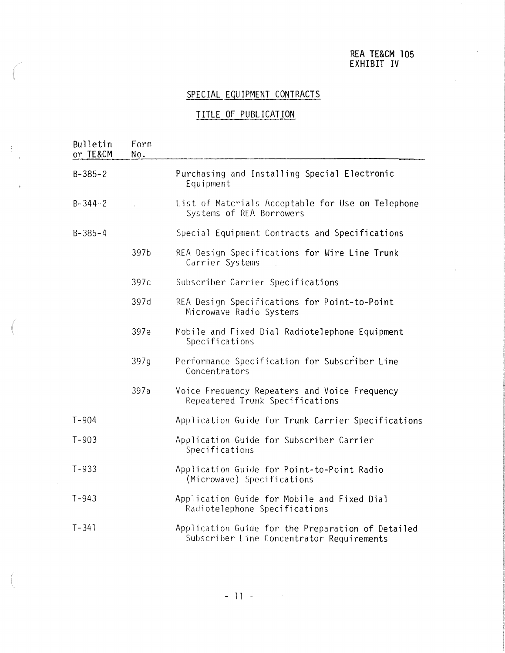#### REA TE&CM 105 EXHIBIT IV

### SPECIAL EQUIPMENT CONTRACTS

#### TITLE OF PUBLICATION

 $\pm 1$ 

| Bulletin<br>or TE&CM | Form<br>No. |                                                                                                |
|----------------------|-------------|------------------------------------------------------------------------------------------------|
| $B - 385 - 2$        |             | Purchasing and Installing Special Electronic<br>Equipment                                      |
| $B - 344 - 2$        |             | List of Materials Acceptable for Use on Telephone<br>Systems of REA Borrowers                  |
| $B - 385 - 4$        |             | Special Equipment Contracts and Specifications                                                 |
|                      | 397b        | REA Design Specifications for Wire Line Trunk<br>Carrier Systems                               |
|                      | 397c        | Subscriber Carrier Specifications                                                              |
|                      | 397d        | REA Design Specifications for Point-to-Point<br>Microwave Radio Systems                        |
|                      | 397e        | Mobile and Fixed Dial Radiotelephone Equipment<br>Specifications                               |
|                      | 397g        | Performance Specification for Subscriber Line<br>Concentrators                                 |
|                      | 397a        | Voice Frequency Repeaters and Voice Frequency<br>Repeatered Trunk Specifications               |
| $T - 904$            |             | Application Guide for Trunk Carrier Specifications                                             |
| $T - 903$            |             | Application Guide for Subscriber Carrier<br>Specifications                                     |
| $T - 933$            |             | Application Guide for Point-to-Point Radio<br>(Microwave) Specifications                       |
| $T - 943$            |             | Application Guide for Mobile and Fixed Dial<br>Radiotelephone Specifications                   |
| $T - 341$            |             | Application Guide for the Preparation of Detailed<br>Subscriber Line Concentrator Requirements |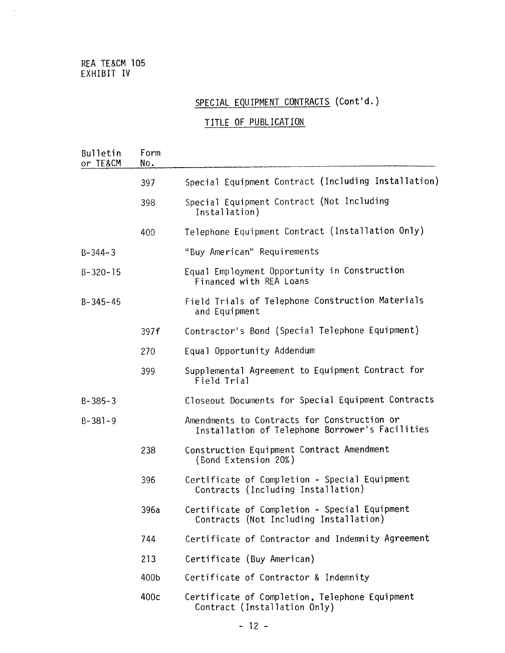#### REA TE&CM 105 EXHIBIT IV

 $\bar{z}$ 

 $\bar{\nu}$ 

# SPECIAL EQUIPMENT CONTRACTS (Cont'd.)

| Bulletin<br>or TE&CM | Form<br>No. |                                                                                                |
|----------------------|-------------|------------------------------------------------------------------------------------------------|
|                      | 397         | Special Equipment Contract (Including Installation)                                            |
|                      | 398         | Special Equipment Contract (Not Including<br>Installation)                                     |
|                      | 400         | Telephone Equipment Contract (Installation Only)                                               |
| $B - 344 - 3$        |             | "Buy American" Requirements                                                                    |
| $B - 320 - 15$       |             | Equal Employment Opportunity in Construction<br>Financed with REA Loans                        |
| $B - 345 - 45$       |             | Field Trials of Telephone Construction Materials<br>and Equipment                              |
|                      | 397f        | Contractor's Bond (Special Telephone Equipment)                                                |
|                      | 270         | Equal Opportunity Addendum                                                                     |
|                      | 399         | Supplemental Agreement to Equipment Contract for<br>Field Trial                                |
| $B - 385 - 3$        |             | Closeout Documents for Special Equipment Contracts                                             |
| $B - 381 - 9$        |             | Amendments to Contracts for Construction or<br>Installation of Telephone Borrower's Facilities |
|                      | 238         | Construction Equipment Contract Amendment<br>(Bond Extension 20%)                              |
|                      | 396         | Certificate of Completion - Special Equipment<br>Contracts (Including Installation)            |
|                      | 396a        | Certificate of Completion - Special Equipment<br>Contracts (Not Including Installation)        |
|                      | 744         | Certificate of Contractor and Indemnity Agreement                                              |
|                      | 213         | Certificate (Buy American)                                                                     |
|                      | 400b        | Certificate of Contractor & Indemnity                                                          |
|                      | 400c        | Certificate of Completion, Telephone Equipment<br>Contract (Installation Only)                 |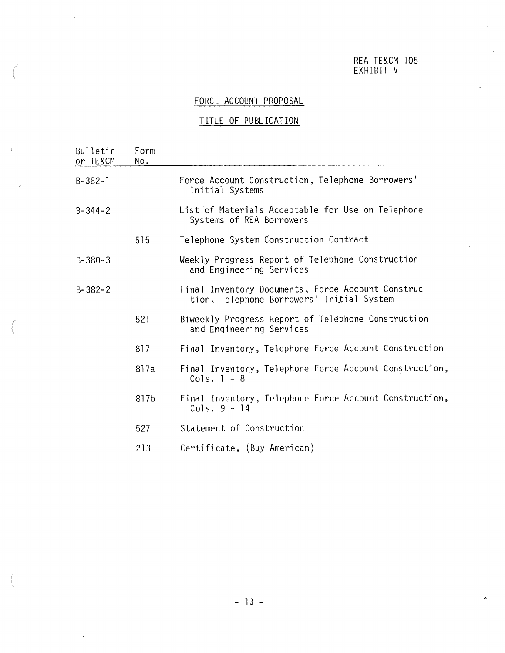#### REA TE&CM 105 EXHIBIT V

### FORCE ACCOUNT PROPOSAL

| Bulletin<br>or TE&CM | Form<br>No. |                                                                                                 |  |  |  |  |
|----------------------|-------------|-------------------------------------------------------------------------------------------------|--|--|--|--|
| B-382-1              |             | Force Account Construction, Telephone Borrowers'<br>Initial Systems                             |  |  |  |  |
| $B - 344 - 2$        |             | List of Materials Acceptable for Use on Telephone<br>Systems of REA Borrowers                   |  |  |  |  |
|                      | 515         | Telephone System Construction Contract                                                          |  |  |  |  |
| B-380-3              |             | Weekly Progress Report of Telephone Construction<br>and Engineering Services                    |  |  |  |  |
| $B - 382 - 2$        |             | Final Inventory Documents, Force Account Construc-<br>tion, Telephone Borrowers' Initial System |  |  |  |  |
|                      | 521         | Biweekly Progress Report of Telephone Construction<br>and Engineering Services                  |  |  |  |  |
|                      | 817         | Final Inventory, Telephone Force Account Construction                                           |  |  |  |  |
|                      | 817a        | Final Inventory, Telephone Force Account Construction,<br>Cols. $1 - 8$                         |  |  |  |  |
|                      | 817b        | Final Inventory, Telephone Force Account Construction,<br>Cols. $9 - 14$                        |  |  |  |  |
|                      | 527         | Statement of Construction                                                                       |  |  |  |  |
|                      | 213         | Certificate, (Buy American)                                                                     |  |  |  |  |
|                      |             |                                                                                                 |  |  |  |  |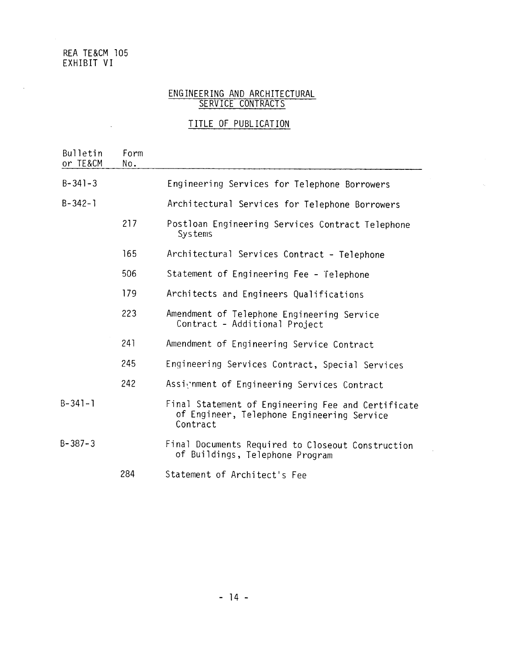#### REA TE&CM 105 EXHIBIT VI

 $\sim 10^{-11}$ 

 $\mathcal{L}^{\pm}$ 

#### ENGINEERING AND ARCHITECTURAL SERVICE CONTRACTS

| Bulletin<br>or TE&CM      | Form<br>No. |                                                                                                  |  |  |
|---------------------------|-------------|--------------------------------------------------------------------------------------------------|--|--|
| $B - 341 - 3$             |             | Engineering Services for Telephone Borrowers                                                     |  |  |
| $B - 342 - 1$             |             | Architectural Services for Telephone Borrowers                                                   |  |  |
|                           | 217         | Postloan Engineering Services Contract Telephone<br><b>Systems</b>                               |  |  |
|                           | 165         | Architectural Services Contract - Telephone                                                      |  |  |
|                           | 506         | Statement of Engineering Fee - Telephone                                                         |  |  |
|                           | 179         | Architects and Engineers Qualifications                                                          |  |  |
|                           | 223         | Amendment of Telephone Engineering Service<br>Contract - Additional Project                      |  |  |
|                           | 241         | Amendment of Engineering Service Contract                                                        |  |  |
|                           | 245         | Engineering Services Contract, Special Services                                                  |  |  |
|                           | 242         | Assignment of Engineering Services Contract                                                      |  |  |
| $B - 341 - 1$<br>Contract |             | Final Statement of Engineering Fee and Certificate<br>of Engineer, Telephone Engineering Service |  |  |
| $B - 387 - 3$             |             | Final Documents Required to Closeout Construction<br>of Buildings, Telephone Program             |  |  |
|                           | 284         | Statement of Architect's Fee                                                                     |  |  |